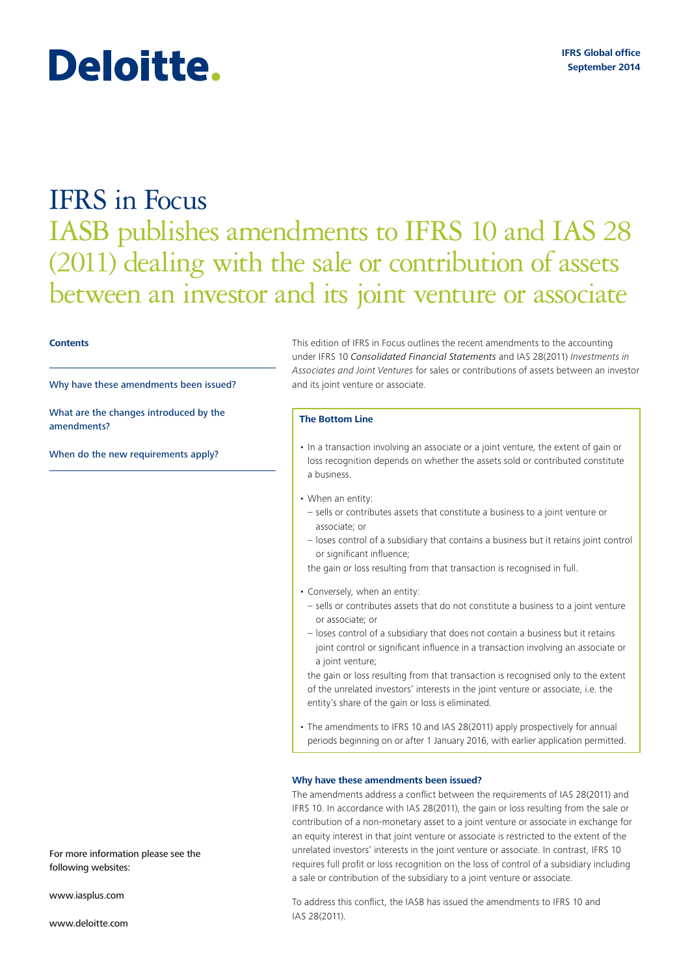# IFRS in Focus IASB publishes amendments to IFRS 10 and IAS 28 (2011) dealing with the sale or contribution of assets between an investor and its joint venture or associate

#### **Contents**

Why have these amendments been issued?

[What are the changes introduced by the](#page-1-0)  [amendments?](#page-1-0)

[When do the new requirements apply?](#page-1-0)

This edition of IFRS in Focus outlines the recent amendments to the accounting under IFRS 10 *Consolidated Financial Statements* and IAS 28(2011) *Investments in Associates and Joint Ventures* for sales or contributions of assets between an investor and its joint venture or associate.

#### **The Bottom Line**

- In a transaction involving an associate or a joint venture, the extent of gain or loss recognition depends on whether the assets sold or contributed constitute a business.
- When an entity:
- sells or contributes assets that constitute a business to a joint venture or associate; or
- loses control of a subsidiary that contains a business but it retains joint control or significant influence;

the gain or loss resulting from that transaction is recognised in full.

- Conversely, when an entity:
- sells or contributes assets that do not constitute a business to a joint venture or associate; or
- loses control of a subsidiary that does not contain a business but it retains joint control or significant influence in a transaction involving an associate or a joint venture;

the gain or loss resulting from that transaction is recognised only to the extent of the unrelated investors' interests in the joint venture or associate, i.e. the entity's share of the gain or loss is eliminated.

• The amendments to IFRS 10 and IAS 28(2011) apply prospectively for annual periods beginning on or after 1 January 2016, with earlier application permitted.

## **Why have these amendments been issued?**

The amendments address a conflict between the requirements of IAS 28(2011) and IFRS 10. In accordance with IAS 28(2011), the gain or loss resulting from the sale or contribution of a non‑monetary asset to a joint venture or associate in exchange for an equity interest in that joint venture or associate is restricted to the extent of the unrelated investors' interests in the joint venture or associate. In contrast, IFRS 10 requires full profit or loss recognition on the loss of control of a subsidiary including a sale or contribution of the subsidiary to a joint venture or associate.

For more information please see the following websites:

www.iasplus.com

www.deloitte.com

To address this conflict, the IASB has issued the amendments to IFRS 10 and IAS 28(2011).

Deloitte.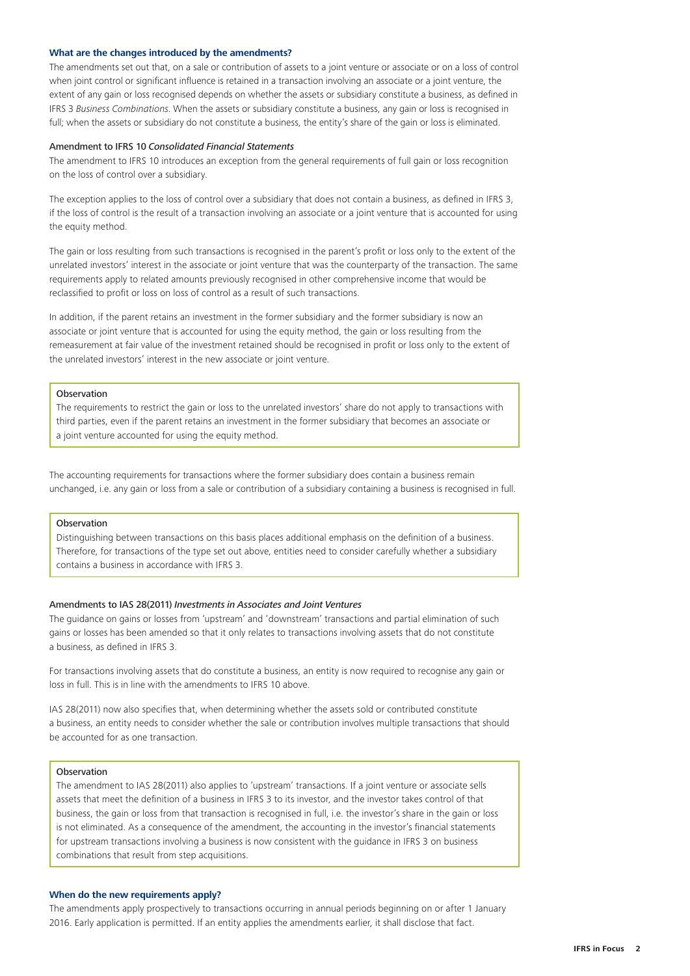## <span id="page-1-0"></span>**What are the changes introduced by the amendments?**

The amendments set out that, on a sale or contribution of assets to a joint venture or associate or on a loss of control when joint control or significant influence is retained in a transaction involving an associate or a joint venture, the extent of any gain or loss recognised depends on whether the assets or subsidiary constitute a business, as defined in IFRS 3 *Business Combinations*. When the assets or subsidiary constitute a business, any gain or loss is recognised in full; when the assets or subsidiary do not constitute a business, the entity's share of the gain or loss is eliminated.

# Amendment to IFRS 10 *Consolidated Financial Statements*

The amendment to IFRS 10 introduces an exception from the general requirements of full gain or loss recognition on the loss of control over a subsidiary.

The exception applies to the loss of control over a subsidiary that does not contain a business, as defined in IFRS 3, if the loss of control is the result of a transaction involving an associate or a joint venture that is accounted for using the equity method.

The gain or loss resulting from such transactions is recognised in the parent's profit or loss only to the extent of the unrelated investors' interest in the associate or joint venture that was the counterparty of the transaction. The same requirements apply to related amounts previously recognised in other comprehensive income that would be reclassified to profit or loss on loss of control as a result of such transactions.

In addition, if the parent retains an investment in the former subsidiary and the former subsidiary is now an associate or joint venture that is accounted for using the equity method, the gain or loss resulting from the remeasurement at fair value of the investment retained should be recognised in profit or loss only to the extent of the unrelated investors' interest in the new associate or joint venture.

## Observation

The requirements to restrict the gain or loss to the unrelated investors' share do not apply to transactions with third parties, even if the parent retains an investment in the former subsidiary that becomes an associate or a joint venture accounted for using the equity method.

The accounting requirements for transactions where the former subsidiary does contain a business remain unchanged, i.e. any gain or loss from a sale or contribution of a subsidiary containing a business is recognised in full.

# Observation

Distinguishing between transactions on this basis places additional emphasis on the definition of a business. Therefore, for transactions of the type set out above, entities need to consider carefully whether a subsidiary contains a business in accordance with IFRS 3.

## Amendments to IAS 28(2011) *Investments in Associates and Joint Ventures*

The guidance on gains or losses from 'upstream' and 'downstream' transactions and partial elimination of such gains or losses has been amended so that it only relates to transactions involving assets that do not constitute a business, as defined in IFRS 3.

For transactions involving assets that do constitute a business, an entity is now required to recognise any gain or loss in full. This is in line with the amendments to IFRS 10 above.

IAS 28(2011) now also specifies that, when determining whether the assets sold or contributed constitute a business, an entity needs to consider whether the sale or contribution involves multiple transactions that should be accounted for as one transaction.

## Observation

The amendment to IAS 28(2011) also applies to 'upstream' transactions. If a joint venture or associate sells assets that meet the definition of a business in IFRS 3 to its investor, and the investor takes control of that business, the gain or loss from that transaction is recognised in full, i.e. the investor's share in the gain or loss is not eliminated. As a consequence of the amendment, the accounting in the investor's financial statements for upstream transactions involving a business is now consistent with the guidance in IFRS 3 on business combinations that result from step acquisitions.

## **When do the new requirements apply?**

The amendments apply prospectively to transactions occurring in annual periods beginning on or after 1 January 2016. Early application is permitted. If an entity applies the amendments earlier, it shall disclose that fact.